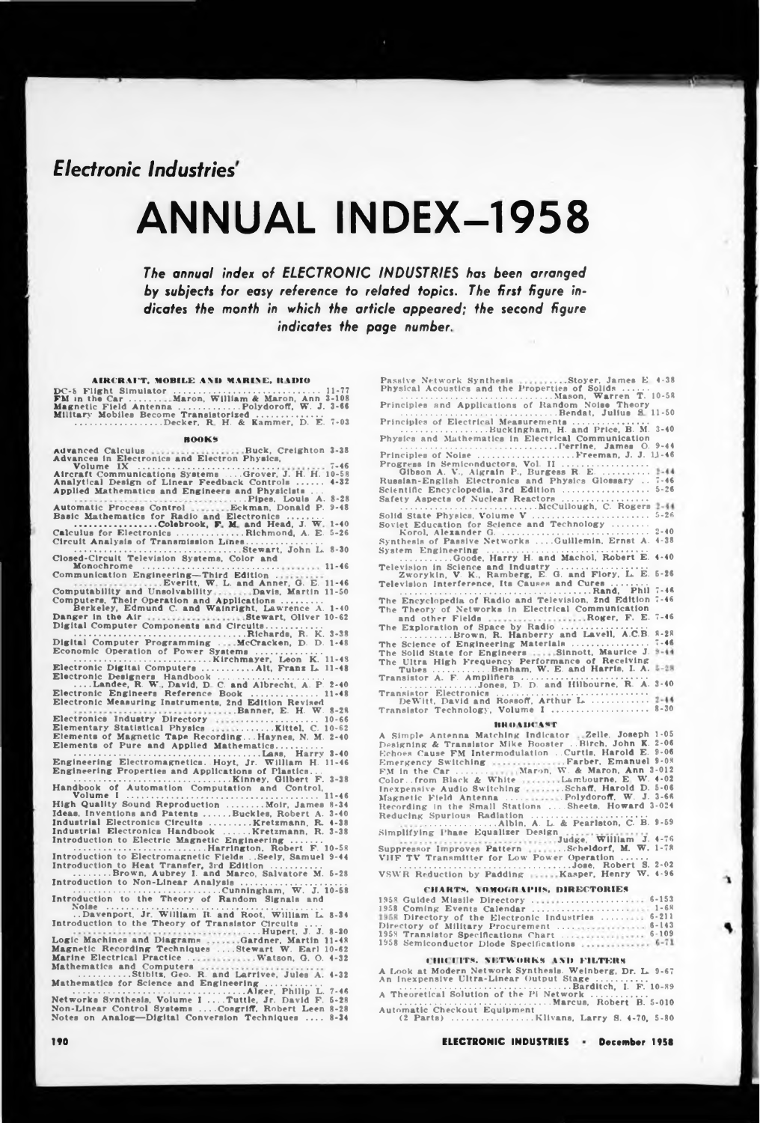*Electronic Industries*

# ANNUAL INDEX-1958

*The annual index of ELECTRONIC INDUSTRIES has been arranged by subjects for easy reference to related topics. The first figure indicates the month in which the article appeared; the second figure indicate» the page number.*

# **AIRCRAFT. MOBILE AND MARINE. It MHO**

DC-8 Flight Simulator ................................................................... 11-77 FM in the Car.............. Maron, William & Maron, Ann 3-108 Magnetic Field Antenna .............................Polydoroff, W. J. 3-66 Military Mobiles Become Transistorized .............................. .........................................Decker, R H. & Kammer, D. E. 7-03

### **HOOK\***

Advanced Calculus Advances in Electronics and Electron Physics, Volume IX ........................................................ Buck, Creighton 3-38 Volume IX<br>Aircraft Communications Systems .....Grover, J. H. H. 10-58<br>Analytical Design of Linear Feedback Controls ........ 4-32<br>Applied Mathematics and Engineers and Physicists ... Automatic Process Control ....Pipes, Louis A. Eckman, Donald P. 8-28 9-48 Basic Mathematics for Radio and Electronics ................ ............................Colebrook, F M and Head, J. W 1-40 Calculus for Electronics..............................Richmond, A. E. 5-26 Circuit Analysis of Transmission Lines................................... ............................................................................Stewart, John L. 8-30 Closed-Circuit Television Systems. Color and Monochrome ..................................................... Communication Engineering—Third Edition . **11-46** Computability and Unsolvability Everitt, W L. and Anner, G. E. 11-46 Davis, Martin 11-50 Computers, Their Operation and Applications ..........<br>Berkeley, Edmund C. and Wainright, Lawrence A. 1-40<br>Danger in the Air sessions sessions Stewart, Oliver 10-62 Digital Computer Components and Circuits.......................... .....................................................................Richards, R. K. 3-38 Digital Computer Programming . McCracken, D. D. 1-48 Economic Operation of Power Systems .............................. ................................................................Klrchmayer, Leon K. 11-48 Electronic Digital Computers........................Alt, Franz L. 11-48 Electronic Designers Handbook ................................................ ....Landee, R. W. David, D C. and Albrecht, A. P. 2-40 Electronic Engineers Reference Book .............................. 11-48 Electronic Measuring Instruments, 2nd Edition Revised Electronics Industry Directory Elementary Statistical Physics Electronics Industry Directory<br>
Electronics Industry Directory<br>
Elementary Statistical Physics<br>
Elements of Magnetic Tape Recording...Haynes, N. M. 2-40<br>
Elements of Pure and Applied Mathematics.............<br>
Engineering E Volume I .............................................................................. High Quality Sound Reproduction ................Moir, James Ideas, Inventions and Patents............Buckles, Robert A. Industrial Electronics Circuits ..................Kretzmann, R. Industrial Electronics Handbook ........... Kretzmann, R. 11-46 <sup>i</sup> 8-34 . 3-40 4-38 . 3-38 Introduction to Electric Magnetic Engineering .............. ....................................................Harrington. Robert F. 10-58 Introduction to Electromagnetic Fields . .Seely, Samuel 9-44 Introduction to Heat Transfer, 3rd Edition ....................... .................Brown, Aubrey I. and Marco, Salvatore M. 5-28 Introduction to Non-Linear Analysis ................................................ ......................................................... Cunningham, W. J. 10-58 Introduction to the Theory of Random Signals and Noise .......................................................................................... ..Davenport, Jr William II. and Root. William L 8-34 Introduction to the Theory of Transistor Circuits .... Logic Machines and Diagrams<br>
Logic Machines and Diagrams<br>
Magnetic Recording Techniques ....Stewart W. Earl 10-62<br>
Magnetic Recording Techniques ....Stewart W. Earl 10-62<br>
Mathematics and Computers<br>
Watson, G. O. 4-32<br>
Mat Mathematics for Science and Engineering<br>
Mathematics for Science and Engineering<br>
Networks Synthesis, Volume I ....Tuttle, Jr. David F. 5-28<br>
Networks Synthesis, Volume I ....Tuttle, Jr. David F. 5-28<br>
Non-Linear Control S 4-32 7-46 5-28 8-28 8-34

**190 ELECTRONIC INDUSTRIES December 1958**

Passive Network Synthesis .........Stoyer, James E. 4-38<br>Physical Acoustics and the Properties of Solids .....<br>Principles and Applications of Random Noise Theory<br>Principles and Applications of Random Noise Theory<br>Bendat, J Principles of Electrical Measurements................................... ..............................Buckingham, H. and Price, B. M. 3-40 Physics and Mathematics in Electrical Communication ......................................... ....................Perrine, James O. 9-4 <sup>4</sup> Principles of Noise .............................................Freeman, J. J. 1J-46 Progress in Semiconductors, Vol. II ....................................... Gibson A. V, Aigrain P., Burgess R. E............... Russian-English Electronics and Physics Glossary . . Scientific Encyclopedia, 3rd Edition ....................................... Safety Aspects *ot* Nuclear Reactors ....................................... ..................................................... McCullough, C. Rogers Solid State Physics, Volume V ..................................................... Soviet Education for Science and Technology ................ Korol. Alexander G....................................................................... Synthesis of Passive Networks . .. .Guillemin, Ernst A. System Engineering .......................................................................... ..............Goode, Harry H. and Macho!, Robert E. 4-40 Television in Science and Industry ......................................... Zworykin, V. K., Ramberg, E. G. and Flory, L. E. Television Interference, Its Causes and Cures ................ ....................................................................................... Rand. Phil The Encyclopedia of Radio and Television, 2nd Edition The Theory of Networks in Electrical Communication 7-46 5-26 **5-26** 2-40 4-38 5-26 7-46 7-46 The and other Fields Roger, F. E. The The The Exploration of Space by Radio ....................................... .......................Brown, R. Hanberry and Lavell, A.C.B. Science of Engineering Materials .................................. Solid State for Engineers Sinnott. Maurice J. Ultra High Frequency Performance *ot* Receiving Tubes ...........................Benham, W. E. and Harris, I. A. Transistor A. F. Amplifiers .......................................................... ...................................Jones, D. D. and Hllbourne, R. A. 7-46 8-28 7-46 3-40

Transistor Electronics ..................................................................... DeWitt. David and Rossoff. Arthur L ......................... Transistor Technology, Volume I ............................................ 8-30

**IlHOHK t\*f** A Simple Antenna Matching Indicator Zelle, Joseph Designing & Transistor Mike Booster ..Birch, John K. Echoes Cause FM Intermodulation . .Curtis, Harold E. Emergency Switching FM in the Car .............. Farber, Emanuel 1-05 2-06 9-06 9-08 Color..from Black & White Inexpensive Audio Switching Magnetic Field Antenna . . . . Maron, W. & Maron, Ann 3-012 Lambourne, E W. 4-02 .Schaff, Harold D. 5-06 . Polydoroff, W. J. 3-66 Recording in the Small Stations ....Sheets, Howard 3-024 Reducing Spurious Radiation ..................................................... .................................Albin. A. L. & Pearlston, C. B. 9-59 Simplifying Phase Equalizer Design Suppressor Improves Pattern Judge, William J. 4-76 . .Scheldorf, M. W. 1-78 VHF TV Transmitter for Low Power Operation ............ .................................................................... Jose, Robert S. 2-02 VSWR Reduction by Padding Kasper, Henry W. 4-96

# **CHARTS. NOMOGH 11'118, DIRECTORIES**

1958 1958 Guided Missile Directory ............................................ Coming Events Calendar ............................................ Directory of the Electronic Industries ........... Directory of Military Procurement .... <sup>1958</sup> Transistor Specifications Chart ... 1958 Semiconductor Diode Specifications 6-153 1-68 6-211 6-143 6-109

## **ICHICLITS. NETWORKS AND FILTERS**

A Look at Modern Network Synthesis. Weinberg, Dr. L. An Inexpensive Ultra-Linear Output Stage ....................... 9-67 ......................................................................Barditch, I. F. 10-89 A Theoretical Solution of the PI Network .......................... ............................................................ Marcus, Robert B. 5-010 Automatic Checkout Equipment (2 Parts) .............................Klivans, Larry S. 4-70, 5-80

 $\mathbf{\hat{a}}$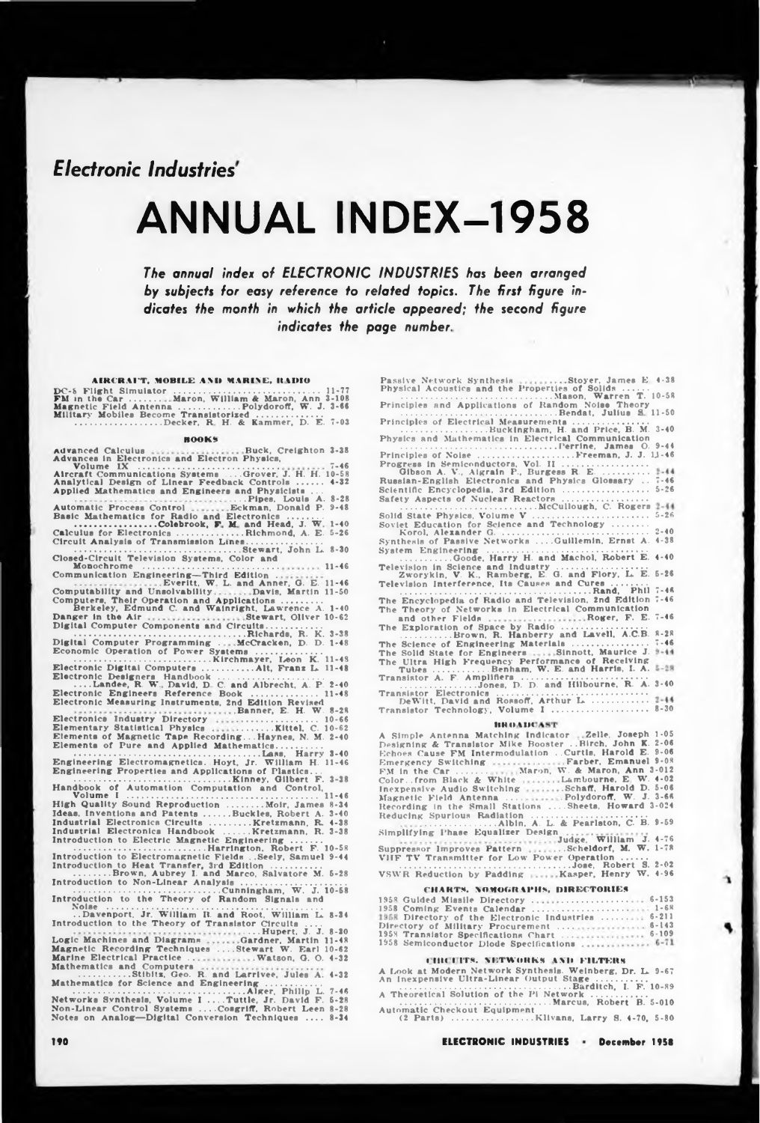*Electronic Industries*

# ANNUAL INDEX-1958

*The annual index of ELECTRONIC INDUSTRIES has been arranged by subjects for easy reference to related topics. The first figure indicates fhe month in which the article appeared; the second figure indicate\* the page number.*

# **AIRCRAFT. MOBILE AND MARINE. It MHO**

DC-8 Flight Simulator ................................................................... 11-77 FM in the Car.............. Maron, William & Maron, Ann 3-108 Magnetic Field Antenna .............................Polydoroff, W. J. 3-66 Military Mobiles Become Transistorized .............................. .........................................Decker, **R** H. & Kammer, D. E. 7-03

### **HOOK\***

Advanced Calculus Advances in Electronics and Electron Physics, Volume IX ........................................................ Buck, Creighton 3-38 7-46 Aircraft Communications Systems . . . .Grover, J. H. H. 10-58 Analytical Design of Linear Feedback Controls ............ Applied Mathematics and Engineers and Physicists . . . 4-32 Automatic Process Control ....Pipes, Louis A. Eckman, Donald P. 8-28 9-48 Basic Mathematics for Radio and Electronics ................ ............................Colebrook, F M and Head, J. W 1-40 Calculus for Electronics..............................Richmond, A. E. 5-26 Circuit Analysis of Transmission Lines................................... ............................................................................Stewart, John L. 8-30 Closed-Circuit Television Systems. Color and Monochrome ..................................................... Communication Engineering—Third Edition . **11-46** Computability and Unsolvability Everitt, W L. and Anner, G. E. 11-46 Davis, Martin 11-50 Computers, Their Operation and Applications ..........<br>Berkeley, Edmund C. and Wainright, Lawrence A. 1-40<br>Danger in the Air sessions sessions Stewart, Oliver 10-62 Digital Computer Components and Circuits.......................... .....................................................................Richards, R. K. 3-38 Digital Computer Programming . McCracken, D. D. 1-48 Economic Operation of Power Systems .............................. ................................................................Kirchmayer, I^eon K. 11-48 Electronic Digital Computers........................Alt, Franz L. 11-48 Electronic Designers Handbook ................................................ ....Landee, R. W. David. D C. and Albrecht, A. P. 2-40 Electronic Engineers Reference Book .............................. 11-48 Electronic Measuring Instruments, 2nd Edition Revised Electronics Industry Directory Elementary Statistical Physics Electronics Industry Directory<br>
Electronics Industry Directory<br>
Elementary Statistical Physics<br>
Elements of Magnetic Tape Recording...Haynes, N. M. 2-40<br>
Elements of Pure and Applied Mathematics.............<br>
Engineering E Volume I .............................................................................. High Quality Sound Reproduction ................Moir, James Ideas, Inventions and Patents............Buckles, Robert A. Industrial Electronics Circuits ..................Kretzmann, R, Industrial Electronics Handbook ........... Kretzmann, R. 11-46 <sup>i</sup> 8-34 . 3-40 4-38 . 3-38 Introduction to Electric Magnetic Engineering .............. ....................................................Harrington, Robert F. 10-58 Introduction to Electromagnetic Fields . .Seely, Samuel 9-44 Introduction to Heat Transfer, 3rd Edition ....................... .................Brown, Aubrey I. and Marco, Salvatore M. 5-28 Introduction to Non-Linear Analysis ................................................ ......................................................... Cunningham, W. J. 10-58 Introduction to the Theory of Random Signals and Noise .......................................................................................... ..Davenport, Jr William II. and Root. William L 8-34 Introduction to the Theory of Transistor Circuits .... Logic Machines and Diagrams<br>
Logic Machines and Diagrams<br>
Magnetic Recording Techniques ....Stewart W. Earl 10-62<br>
Magnetic Recording Techniques ....Stewart W. Earl 10-62<br>
Mathematics and Computers<br>
Watson, G. O. 4-32<br>
Mat Mathematics for Science and Engineering (1998) A. 4-32<br>
Mathematics for Science and Engineering (1998), 1998<br>
Networks Synthesis, Volume I ....Tuttle, Jr. David F. 5-28<br>
Non-Linear Control Systems ....Congriff, Robert Leen 4-32 7-46 5-28 8-28 8-34

**190 ELECTRONIC INDUSTRIES December 1958**

Passive Network Synthesis .........Stoyer, James E 4-38<br>Physical Acoustics and the Properties of Solids ......<br>Principles and Applications of Random Noise Theory... Europes Accommunications of Random Noise Theory<br>Principles and Applications of Random Noise Theory<br>Bendat, Julius S 11-50 Principles of Electrical Measurements................................... ..............................Buckingham, H. and Price, B. M. 3-40 Physics and Mathematics in Electrical Communication ......................................... ....................Perrine, James O. 9-4 <sup>4</sup> Principles of Noise .............................................Freeman, J. J. 1J-46 Progress in Semiconductors, Vol. II ....................................... Gibson A. V., Algrain P., Burgess R. E.<br>Russian-English Electronics and Physics Glossary<br>Selentific Encyclopedia, 3rd Edition<br>Safety Aspects of Nuclear Reactors<br>Safety Aspects of Nuclear Reactors<br>Novice Education for Scien ..............Goode, Harry H. and Machol, Robert E. 4-40 Television in Science and industry ......................................... Zworykin, V. K., Ramberg, E. G. and Flory, L. E. Television Interference, Its Causes and Cures ................ ....................................................................................... Rand. Phil The Encyclopedia of Radio and Television, 2nd Edition The Theory of Networks in Electrical Communication<br>and other Fields Roger, F. E. 7-46 7-46 5-26 5-26 2-40 4-38 5-26 7-46 7-46 The The The The Solid State for Engineers Sinnott. Maurice J. Ultra High Frequency Performance *ot* Receiving Tubes ...........................Benham, W. E. and Harris, I. A. Transistor A. F. Amplifiers .......................................................... ...................................Jones, D. D. and Hllbourne, R. A. 3-40 Exploration of Space by Radio ....................................... .......................Brown, R. Hanberry and Lavell, A.C.B. Science of Engineering Materials .................................. 8-28 7-46 Transistor Electronics ..................................................................... DeWitt. David and Rossoff, Arthur L ......................... Transistor Technology, Volume I ............................................ 8-30

# **IIKOMH**

| <b>BUILD A LIGHT AT L</b>                                           |
|---------------------------------------------------------------------|
| A Simple Antenna Matching Indicator  Zelle, Joseph 1-05             |
| Designing & Transistor Mike Booster  Birch, John K. 2-06            |
| Echoes Cause FM Intermodulation  Curtls, Harold E. 9-06             |
| Emergency Switching Farber, Emanuel 9-08                            |
| FM in the Car  Maron, W. & Maron, Ann 3-012                         |
| Colorfrom Black & White Lambourne, E. W. 4-02                       |
| Inexpensive Audio Switching Schaff, Harold D. 5-06                  |
| Magnetic Field Antenna Polydoroff, W. J. 3-66                       |
| Recording in the Small Stations  Sheets, Howard 3-024               |
| Reducing Spurious Radiation                                         |
| Simplifying Phase Equalizer Design<br>Judge, William J. 4-76        |
| Suppressor Improves Pattern Scheldorf, M. W. 1-78                   |
| VIIF TV Transmitter for Low Power Operation<br>Jose, Robert S. 2-02 |
| VSWR Reduction by Padding  Kasper, Henry W. 4-96                    |

## **CHARTS. NOHOGRM'HS. DIRECTORIES**

| 1958 Guided Missile Directory  6-153               |  |
|----------------------------------------------------|--|
|                                                    |  |
| 1958 Directory of the Electronic Industries  6-211 |  |
|                                                    |  |
| 1958 Translator Specifications Chart  6-109        |  |
| 1958 Semiconductor Diode Specifications  6-71      |  |

## **<sup>I</sup> lilt <sup>I</sup> ITS. NETWORKS t\ll FILTERS**

A Look at Modern Network Synthesis. Weinberg, Dr. L. An Inexpensive Ultra-Linear Output Stage ....................... 9-67 ......................................................................Barditch, I. F. 10-89 A Theoretical Solution of the Pi Network .......................... ............................................................ Marcus, Robert B. 5-010 Automatic Checkout Equipment (2 Parts) .............................Klivans, Larry S. 4-70, 5-80

È.